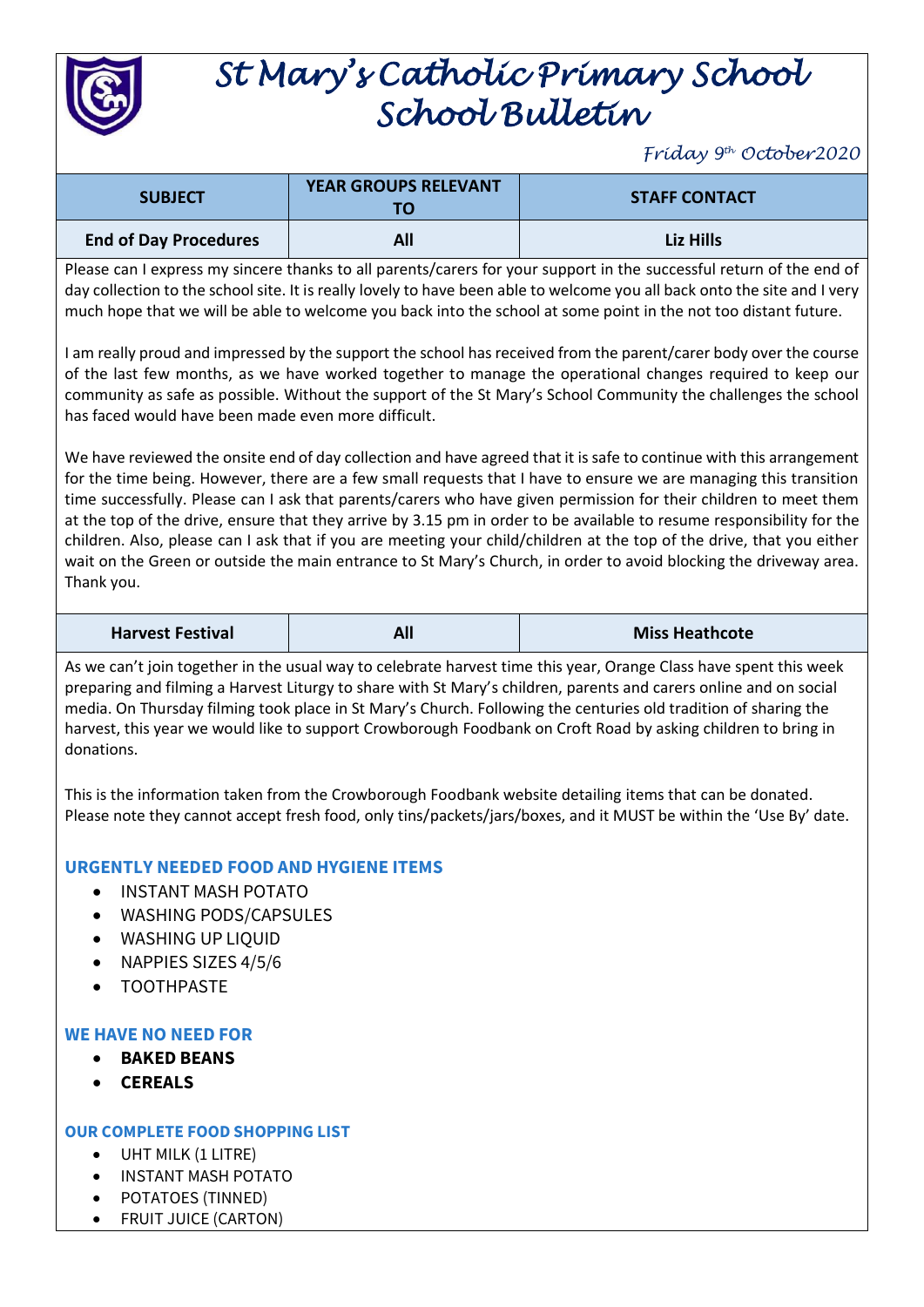

# *St Mary's Catholic Primary School School Bulletin*

*Friday 9th October2020*

| <b>SUBJECT</b>               | <b>YEAR GROUPS RELEVANT</b><br>TΟ | <b>STAFF CONTACT</b> |
|------------------------------|-----------------------------------|----------------------|
| <b>End of Day Procedures</b> | All                               | Liz Hills            |

Please can I express my sincere thanks to all parents/carers for your support in the successful return of the end of day collection to the school site. It is really lovely to have been able to welcome you all back onto the site and I very much hope that we will be able to welcome you back into the school at some point in the not too distant future.

I am really proud and impressed by the support the school has received from the parent/carer body over the course of the last few months, as we have worked together to manage the operational changes required to keep our community as safe as possible. Without the support of the St Mary's School Community the challenges the school has faced would have been made even more difficult.

We have reviewed the onsite end of day collection and have agreed that it is safe to continue with this arrangement for the time being. However, there are a few small requests that I have to ensure we are managing this transition time successfully. Please can I ask that parents/carers who have given permission for their children to meet them at the top of the drive, ensure that they arrive by 3.15 pm in order to be available to resume responsibility for the children. Also, please can I ask that if you are meeting your child/children at the top of the drive, that you either wait on the Green or outside the main entrance to St Mary's Church, in order to avoid blocking the driveway area. Thank you.

| <b>Harvest Festival</b> | <b>All</b> | <b>Miss Heathcote</b> |
|-------------------------|------------|-----------------------|
|-------------------------|------------|-----------------------|

As we can't join together in the usual way to celebrate harvest time this year, Orange Class have spent this week preparing and filming a Harvest Liturgy to share with St Mary's children, parents and carers online and on social media. On Thursday filming took place in St Mary's Church. Following the centuries old tradition of sharing the harvest, this year we would like to support Crowborough Foodbank on Croft Road by asking children to bring in donations.

This is the information taken from the Crowborough Foodbank website detailing items that can be donated. Please note they cannot accept fresh food, only tins/packets/jars/boxes, and it MUST be within the 'Use By' date.

## **URGENTLY NEEDED FOOD AND HYGIENE ITEMS**

- INSTANT MASH POTATO
- WASHING PODS/CAPSULES
- WASHING UP LIQUID
- NAPPIES SIZES 4/5/6
- TOOTHPASTE

## **WE HAVE NO NEED FOR**

- **BAKED BEANS**
- **CEREALS**

## **OUR COMPLETE FOOD SHOPPING LIST**

- UHT MILK (1 LITRE)
- INSTANT MASH POTATO
- POTATOES (TINNED)
- FRUIT JUICE (CARTON)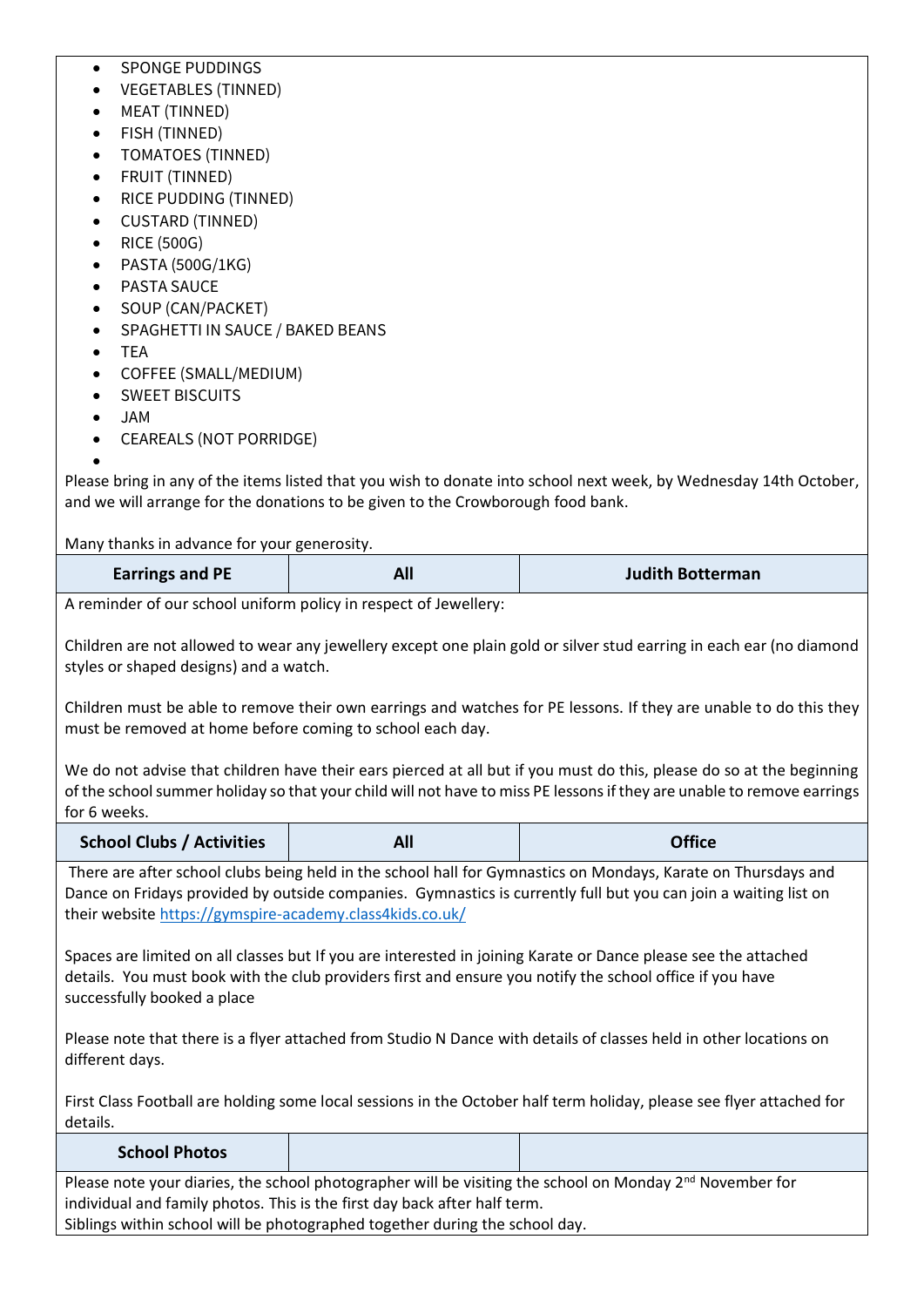### • SPONGE PUDDINGS

- VEGETABLES (TINNED)
- MEAT (TINNED)
- FISH (TINNED)
- TOMATOES (TINNED)
- FRUIT (TINNED)
- RICE PUDDING (TINNED)
- CUSTARD (TINNED)
- RICE (500G)
- PASTA (500G/1KG)
- PASTA SAUCE
- SOUP (CAN/PACKET)
- SPAGHETTI IN SAUCE / BAKED BEANS
- TEA
- COFFEE (SMALL/MEDIUM)
- SWEET BISCUITS
- JAM
- CEAREALS (NOT PORRIDGE)

•

Please bring in any of the items listed that you wish to donate into school next week, by Wednesday 14th October, and we will arrange for the donations to be given to the Crowborough food bank.

Many thanks in advance for your generosity.

| <b>Earrings and PE</b> | All | <b>Judith Botterman</b> |
|------------------------|-----|-------------------------|
|                        |     |                         |

A reminder of our school uniform policy in respect of Jewellery:

Children are not allowed to wear any jewellery except one plain gold or silver stud earring in each ear (no diamond styles or shaped designs) and a watch.

Children must be able to remove their own earrings and watches for PE lessons. If they are unable to do this they must be removed at home before coming to school each day.

We do not advise that children have their ears pierced at all but if you must do this, please do so at the beginning of the school summer holiday so that your child will not have to miss PE lessons if they are unable to remove earrings for 6 weeks.

| <b>School Clubs / Activities</b> |  | <b>Office</b> |
|----------------------------------|--|---------------|
|----------------------------------|--|---------------|

There are after school clubs being held in the school hall for Gymnastics on Mondays, Karate on Thursdays and Dance on Fridays provided by outside companies. Gymnastics is currently full but you can join a waiting list on their website<https://gymspire-academy.class4kids.co.uk/>

Spaces are limited on all classes but If you are interested in joining Karate or Dance please see the attached details. You must book with the club providers first and ensure you notify the school office if you have successfully booked a place

Please note that there is a flyer attached from Studio N Dance with details of classes held in other locations on different days.

First Class Football are holding some local sessions in the October half term holiday, please see flyer attached for details.

| <b>School Photos</b>                                                                                          |  |  |
|---------------------------------------------------------------------------------------------------------------|--|--|
| Please note your diaries, the school photographer will be visiting the school on Monday $2^{nd}$ November for |  |  |
| individual and family photos. This is the first day back after half term.                                     |  |  |
| Siblings within school will be photographed together during the school day                                    |  |  |

Siblings within school will be photographed together during the school day.